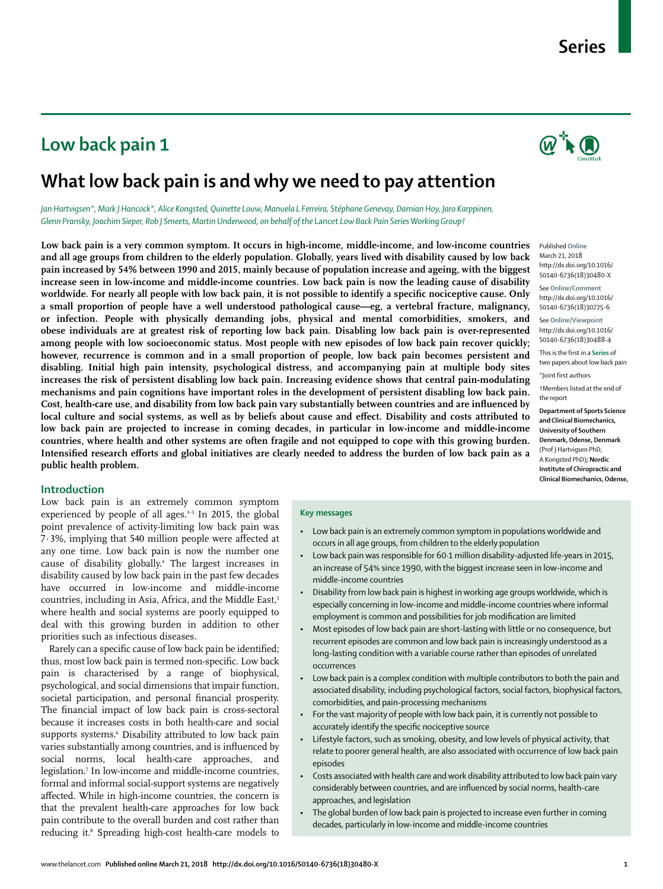# **Low back pain 1**

# **What low back pain is and why we need to pay attention**

*Jan Hartvigsen\*, Mark J Hancock\*, Alice Kongsted, Quinette Louw, Manuela L Ferreira, Stéphane Genevay, Damian Hoy, Jaro Karppinen, Glenn Pransky, Joachim Sieper, Rob J Smeets, Martin Underwood, on behalf of the* Lancet *Low Back Pain Series Working Group†*

**Low back pain is a very common symptom. It occurs in high-income, middle-income, and low-income countries and all age groups from children to the elderly population. Globally, years lived with disability caused by low back pain increased by 54% between 1990 and 2015, mainly because of population increase and ageing, with the biggest increase seen in low-income and middle-income countries. Low back pain is now the leading cause of disability worldwide. For nearly all people with low back pain, it is not possible to identify a specific nociceptive cause. Only a small proportion of people have a well understood pathological cause—eg, a vertebral fracture, malignancy, or infection. People with physically demanding jobs, physical and mental comorbidities, smokers, and obese individuals are at greatest risk of reporting low back pain. Disabling low back pain is over-represented among people with low socioeconomic status. Most people with new episodes of low back pain recover quickly; however, recurrence is common and in a small proportion of people, low back pain becomes persistent and disabling. Initial high pain intensity, psychological distress, and accompanying pain at multiple body sites increases the risk of persistent disabling low back pain. Increasing evidence shows that central pain-modulating mechanisms and pain cognitions have important roles in the development of persistent disabling low back pain. Cost, health-care use, and disability from low back pain vary substantially between countries and are influenced by local culture and social systems, as well as by beliefs about cause and effect. Disability and costs attributed to low back pain are projected to increase in coming decades, in particular in low-income and middle-income countries, where health and other systems are often fragile and not equipped to cope with this growing burden. Intensified research efforts and global initiatives are clearly needed to address the burden of low back pain as a public health problem.**



Published **Online** March 21, 2018 http://dx.doi.org/10.1016/ S0140-6736(18)30480-X

See **Online/Comment** http://dx.doi.org/10.1016/ S0140-6736(18)30725-6

See **Online/Viewpoint** http://dx.doi.org/10.1016/ S0140-6736(18)30488-4

This is the first in a **Series** of two papers about low back pain

\*Joint first authors

†Members listed at the end of the report

**Department of Sports Science and Clinical Biomechanics, University of Southern Denmark, Odense, Denmark**  (Prof J Hartvigsen PhD, A Kongsted PhD)**; Nordic Institute of Chiropractic and Clinical Biomechanics, Odense,** 

## **Introduction**

Low back pain is an extremely common symptom experienced by people of all ages. $1-3$  In 2015, the global point prevalence of activity-limiting low back pain was 7·3%, implying that 540 million people were affected at any one time. Low back pain is now the number one cause of disability globally.4 The largest increases in disability caused by low back pain in the past few decades have occurred in low-income and middle-income countries, including in Asia, Africa, and the Middle East,<sup>5</sup> where health and social systems are poorly equipped to deal with this growing burden in addition to other priorities such as infectious diseases.

Rarely can a specific cause of low back pain be identified; thus, most low back pain is termed non-specific. Low back pain is characterised by a range of biophysical, psychological, and social dimensions that impair function, societal participation, and personal financial prosperity. The financial impact of low back pain is cross-sectoral because it increases costs in both health-care and social supports systems.<sup>6</sup> Disability attributed to low back pain varies substantially among countries, and is influenced by social norms, local health-care approaches, and legislation.7 In low-income and middle-income countries, formal and informal social-support systems are negatively affected. While in high-income countries, the concern is that the prevalent health-care approaches for low back pain contribute to the overall burden and cost rather than reducing it.<sup>8</sup> Spreading high-cost health-care models to

## **Key messages**

- Low back pain is an extremely common symptom in populations worldwide and occurs in all age groups, from children to the elderly population
- Low back pain was responsible for 60·1 million disability-adjusted life-years in 2015, an increase of 54% since 1990, with the biggest increase seen in low-income and middle-income countries
- Disability from low back pain is highest in working age groups worldwide, which is especially concerning in low-income and middle-income countries where informal employment is common and possibilities for job modification are limited
- Most episodes of low back pain are short-lasting with little or no consequence, but recurrent episodes are common and low back pain is increasingly understood as a long-lasting condition with a variable course rather than episodes of unrelated occurrences
- Low back pain is a complex condition with multiple contributors to both the pain and associated disability, including psychological factors, social factors, biophysical factors, comorbidities, and pain-processing mechanisms
- For the vast majority of people with low back pain, it is currently not possible to accurately identify the specific nociceptive source
- Lifestyle factors, such as smoking, obesity, and low levels of physical activity, that relate to poorer general health, are also associated with occurrence of low back pain episodes
- Costs associated with health care and work disability attributed to low back pain vary considerably between countries, and are influenced by social norms, health-care approaches, and legislation
	- The global burden of low back pain is projected to increase even further in coming decades, particularly in low-income and middle-income countries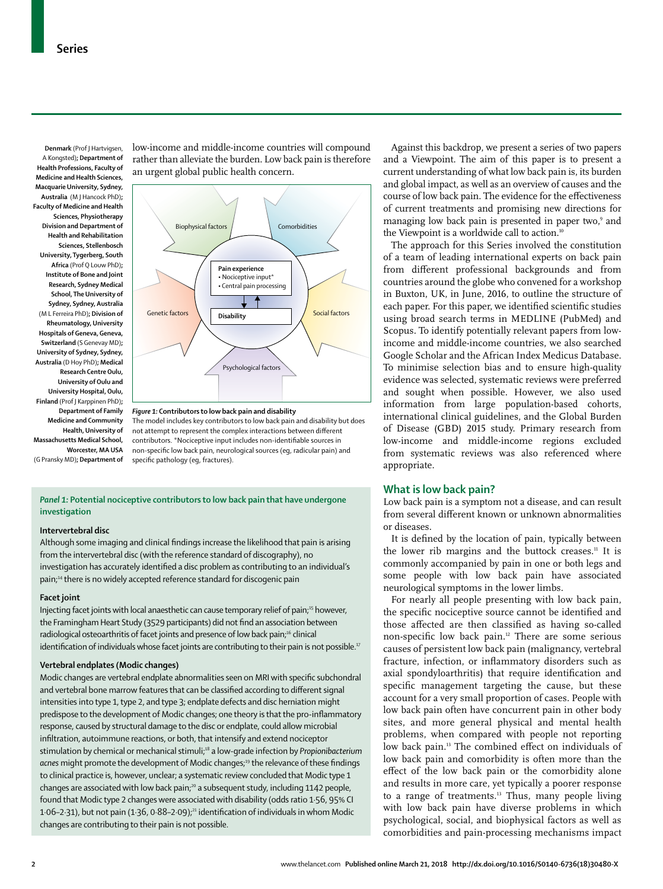**Denmark** (Prof J Hartvigsen, A Kongsted)**; Department of Health Professions, Faculty of Medicine and Health Sciences, Macquarie University, Sydney, Australia** (M J Hancock PhD)**; Faculty of Medicine and Health Sciences, Physiotherapy Division and Department of Health and Rehabilitation Sciences, Stellenbosch University, Tygerberg, South Africa** (Prof Q Louw PhD)**; Institute of Bone and Joint Research, Sydney Medical School, The University of Sydney, Sydney, Australia** (M L Ferreira PhD)**; Division of Rheumatology, University Hospitals of Geneva, Geneva, Switzerland** (S Genevay MD)**; University of Sydney, Sydney, Australia** (D Hoy PhD)**; Medical Research Centre Oulu, University of Oulu and University Hospital, Oulu, Finland** (Prof J Karppinen PhD)**; Department of Family Medicine and Community Health, University of Massachusetts Medical School, Worcester, MA USA** (G Pransky MD)**; Department of** low-income and middle-income countries will compound rather than alleviate the burden. Low back pain is therefore an urgent global public health concern.



The model includes key contributors to low back pain and disability but does

not attempt to represent the complex interactions between different contributors. \*Nociceptive input includes non-identifiable sources in non-specific low back pain, neurological sources (eg, radicular pain) and specific pathology (eg, fractures).

## *Panel 1:* **Potential nociceptive contributors to low back pain that have undergone investigation**

#### **Intervertebral disc**

Although some imaging and clinical findings increase the likelihood that pain is arising from the intervertebral disc (with the reference standard of discography), no investigation has accurately identified a disc problem as contributing to an individual's pain;<sup>14</sup> there is no widely accepted reference standard for discogenic pain

## **Facet joint**

Injecting facet joints with local anaesthetic can cause temporary relief of pain;<sup>15</sup> however, the Framingham Heart Study (3529 participants) did not find an association between radiological osteoarthritis of facet joints and presence of low back pain;<sup>16</sup> clinical identification of individuals whose facet joints are contributing to their pain is not possible.<sup>17</sup>

## **Vertebral endplates (Modic changes)**

Modic changes are vertebral endplate abnormalities seen on MRI with specific subchondral and vertebral bone marrow features that can be classified according to different signal intensities into type 1, type 2, and type 3; endplate defects and disc herniation might predispose to the development of Modic changes; one theory is that the pro-inflammatory response, caused by structural damage to the disc or endplate, could allow microbial infiltration, autoimmune reactions, or both, that intensify and extend nociceptor stimulation by chemical or mechanical stimuli;18 a low-grade infection by *Propionibacterium*  acnes might promote the development of Modic changes;<sup>19</sup> the relevance of these findings to clinical practice is, however, unclear; a systematic review concluded that Modic type 1 changes are associated with low back pain;<sup>20</sup> a subsequent study, including 1142 people, found that Modic type 2 changes were associated with disability (odds ratio 1·56, 95% CI 1·06–2·31), but not pain (1·36, 0·88–2·09);21 identification of individuals in whom Modic changes are contributing to their pain is not possible.

Against this backdrop, we present a series of two papers and a Viewpoint. The aim of this paper is to present a current understanding of what low back pain is, its burden and global impact, as well as an overview of causes and the course of low back pain. The evidence for the effectiveness of current treatments and promising new directions for managing low back pain is presented in paper two,<sup>9</sup> and the Viewpoint is a worldwide call to action.<sup>10</sup>

The approach for this Series involved the constitution of a team of leading international experts on back pain from different professional backgrounds and from countries around the globe who convened for a workshop in Buxton, UK, in June, 2016, to outline the structure of each paper. For this paper, we identified scientific studies using broad search terms in MEDLINE (PubMed) and Scopus. To identify potentially relevant papers from lowincome and middle-income countries, we also searched Google Scholar and the African Index Medicus Database. To minimise selection bias and to ensure high-quality evidence was selected, systematic reviews were preferred and sought when possible. However, we also used information from large population-based cohorts, international clinical guidelines, and the Global Burden of Disease (GBD) 2015 study. Primary research from low-income and middle-income regions excluded from systematic reviews was also referenced where appropriate.

## **What is low back pain?**

Low back pain is a symptom not a disease, and can result from several different known or unknown abnormalities or diseases.

It is defined by the location of pain, typically between the lower rib margins and the buttock creases. $<sup>11</sup>$  It is</sup> commonly accompanied by pain in one or both legs and some people with low back pain have associated neurological symptoms in the lower limbs.

For nearly all people presenting with low back pain, the specific nociceptive source cannot be identified and those affected are then classified as having so-called non-specific low back pain.12 There are some serious causes of persistent low back pain (malignancy, vertebral fracture, infection, or inflammatory disorders such as axial spondyloarthritis) that require identification and specific management targeting the cause, but these account for a very small proportion of cases. People with low back pain often have concurrent pain in other body sites, and more general physical and mental health problems, when compared with people not reporting low back pain.13 The combined effect on individuals of low back pain and comorbidity is often more than the effect of the low back pain or the comorbidity alone and results in more care, yet typically a poorer response to a range of treatments.<sup>13</sup> Thus, many people living with low back pain have diverse problems in which psychological, social, and biophysical factors as well as comorbidities and pain-processing mechanisms impact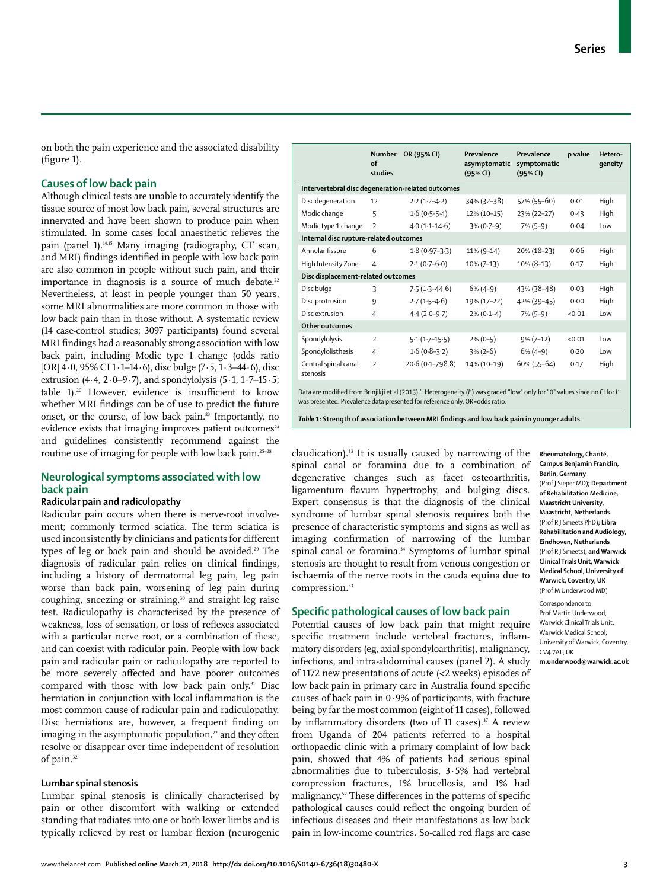on both the pain experience and the associated disability (figure 1).

# **Causes of low back pain**

Although clinical tests are unable to accurately identify the tissue source of most low back pain, several structures are innervated and have been shown to produce pain when stimulated. In some cases local anaesthetic relieves the pain (panel 1).<sup>14,15</sup> Many imaging (radiography, CT scan, and MRI) findings identified in people with low back pain are also common in people without such pain, and their importance in diagnosis is a source of much debate. $22$ Nevertheless, at least in people younger than 50 years, some MRI abnormalities are more common in those with low back pain than in those without. A systematic review (14 case-control studies; 3097 participants) found several MRI findings had a reasonably strong association with low back pain, including Modic type 1 change (odds ratio [OR]  $4.0$ ,  $95\%$  CI  $1.1-14.6$ ], disc bulge  $(7.5, 1.3-44.6)$ , disc extrusion (4 $-4$ , 2 $-9 - 7$ ), and spondylolysis (5 $-1$ , 1 $-7 - 15 - 5$ ; table 1).<sup>20</sup> However, evidence is insufficient to know whether MRI findings can be of use to predict the future onset, or the course, of low back pain.<sup>23</sup> Importantly, no evidence exists that imaging improves patient outcomes $24$ and guidelines consistently recommend against the routine use of imaging for people with low back pain.25–28

## **Neurological symptoms associated with low back pain**

## **Radicular pain and radiculopathy**

Radicular pain occurs when there is nerve-root involvement; commonly termed sciatica. The term sciatica is used inconsistently by clinicians and patients for different types of leg or back pain and should be avoided.<sup>29</sup> The diagnosis of radicular pain relies on clinical findings, including a history of dermatomal leg pain, leg pain worse than back pain, worsening of leg pain during coughing, sneezing or straining,<sup>30</sup> and straight leg raise test. Radiculopathy is characterised by the presence of weakness, loss of sensation, or loss of reflexes associated with a particular nerve root, or a combination of these, and can coexist with radicular pain. People with low back pain and radicular pain or radiculopathy are reported to be more severely affected and have poorer outcomes compared with those with low back pain only.31 Disc herniation in conjunction with local inflammation is the most common cause of radicular pain and radiculopathy. Disc herniations are, however, a frequent finding on imaging in the asymptomatic population, $22$  and they often resolve or disappear over time independent of resolution of pain.32

## **Lumbar spinal stenosis**

Lumbar spinal stenosis is clinically characterised by pain or other discomfort with walking or extended standing that radiates into one or both lower limbs and is typically relieved by rest or lumbar flexion (neurogenic

|                                                   | Number<br>of<br>studies  | OR (95% CI)       | Prevalence<br>asymptomatic<br>(95% CI) | Prevalence<br>symptomatic<br>(95% CI) | p value | Hetero-<br>qeneity |  |  |
|---------------------------------------------------|--------------------------|-------------------|----------------------------------------|---------------------------------------|---------|--------------------|--|--|
| Intervertebral disc degeneration-related outcomes |                          |                   |                                        |                                       |         |                    |  |  |
| Disc degeneration                                 | 12                       | $2.2(1.2-4.2)$    | 34% (32-38)                            | 57% (55-60)                           | 0.01    | High               |  |  |
| Modic change                                      | 5                        | $1.6(0.5-5.4)$    | 12% (10-15)                            | 23% (22-27)                           | 0.43    | High               |  |  |
| Modic type 1 change                               | $\overline{2}$           | $4.0(1.1-14.6)$   | $3% (0.7-9)$                           | 7% (5-9)                              | 0.04    | Low                |  |  |
| Internal disc rupture-related outcomes            |                          |                   |                                        |                                       |         |                    |  |  |
| Annular fissure                                   | 6                        | $1.8(0.97-3.3)$   | 11% (9-14)                             | 20% (18-23)                           | 0.06    | High               |  |  |
| High Intensity Zone                               | 4                        | $2.1(0.7-6.0)$    | $10\% (7-13)$                          | $10\% (8-13)$                         | 0.17    | High               |  |  |
| Disc displacement-related outcomes                |                          |                   |                                        |                                       |         |                    |  |  |
| Disc bulge                                        | 3                        | $7.5(1.3 - 44.6)$ | $6\%$ (4-9)                            | 43% (38-48)                           | 0.03    | High               |  |  |
| Disc protrusion                                   | 9                        | $2.7(1.5-4.6)$    | 19% (17-22)                            | 42% (39-45)                           | 0.00    | High               |  |  |
| Disc extrusion                                    | 4                        | $4.4(2.0-9.7)$    | $2\%$ (0.1-4)                          | 7% (5-9)                              | <0.01   | Low                |  |  |
| Other outcomes                                    |                          |                   |                                        |                                       |         |                    |  |  |
| Spondylolysis                                     | $\overline{2}$           | $5.1(1.7-15.5)$   | $2\%$ (0-5)                            | $9\% (7-12)$                          | < 0.01  | Low                |  |  |
| Spondylolisthesis                                 | 4                        | $1.6(0.8-3.2)$    | $3\%$ (2–6)                            | $6\%$ (4-9)                           | 0.20    | Low                |  |  |
| Central spinal canal<br>stenosis                  | $\overline{\phantom{a}}$ | 20.6 (0.1-798.8)  | 14% (10-19)                            | 60% (55-64)                           | 0.17    | High               |  |  |

Data are modified from Brinjikji et al (2015).**<sup>20</sup>** Heterogeneity (*I*²) was graded "low" only for "0" values since no CI for *I*² was presented. Prevalence data presented for reference only. OR=odds ratio.

*Table 1:* **Strength of association between MRI findings and low back pain in younger adults**

claudication).33 It is usually caused by narrowing of the spinal canal or foramina due to a combination of degenerative changes such as facet osteoarthritis, ligamentum flavum hypertrophy, and bulging discs. Expert consensus is that the diagnosis of the clinical syndrome of lumbar spinal stenosis requires both the presence of characteristic symptoms and signs as well as imaging confirmation of narrowing of the lumbar spinal canal or foramina.<sup>34</sup> Symptoms of lumbar spinal stenosis are thought to result from venous congestion or ischaemia of the nerve roots in the cauda equina due to compression.<sup>33</sup>

## **Specific pathological causes of low back pain**

Potential causes of low back pain that might require specific treatment include vertebral fractures, inflammatory disorders (eg, axial spondyloarthritis), malignancy, infections, and intra-abdominal causes (panel 2). A study of 1172 new presentations of acute (<2 weeks) episodes of low back pain in primary care in Australia found specific causes of back pain in 0·9% of participants, with fracture being by far the most common (eight of 11 cases), followed by inflammatory disorders (two of 11 cases).<sup>37</sup> A review from Uganda of 204 patients referred to a hospital orthopaedic clinic with a primary complaint of low back pain, showed that 4% of patients had serious spinal abnormalities due to tuberculosis, 3·5% had vertebral compression fractures, 1% brucellosis, and 1% had malignancy.52 These differences in the patterns of specific pathological causes could reflect the ongoing burden of infectious diseases and their manifestations as low back pain in low-income countries. So-called red flags are case

Correspondence to: Prof Martin Underwood, Warwick Clinical Trials Unit, Warwick Medical School, University of Warwick, Coventry, CV4 7AL, UK **m.underwood@warwick.ac.uk**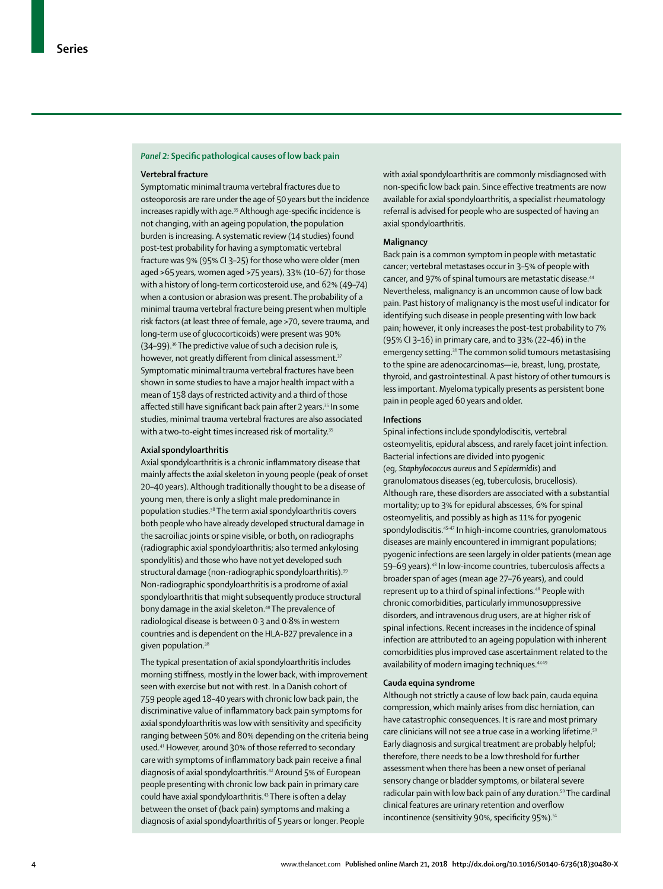## *Panel 2:* **Specific pathological causes of low back pain**

### **Vertebral fracture**

Symptomatic minimal trauma vertebral fractures due to osteoporosis are rare under the age of 50 years but the incidence increases rapidly with age.<sup>35</sup> Although age-specific incidence is not changing, with an ageing population, the population burden is increasing. A systematic review (14 studies) found post-test probability for having a symptomatic vertebral fracture was 9% (95% CI 3–25) for those who were older (men aged >65 years, women aged >75 years), 33% (10–67) for those with a history of long-term corticosteroid use, and 62% (49–74) when a contusion or abrasion was present. The probability of a minimal trauma vertebral fracture being present when multiple risk factors (at least three of female, age >70, severe trauma, and long-term use of glucocorticoids) were present was 90% (34–99).36 The predictive value of such a decision rule is, however, not greatly different from clinical assessment.<sup>37</sup> Symptomatic minimal trauma vertebral fractures have been shown in some studies to have a major health impact with a mean of 158 days of restricted activity and a third of those affected still have significant back pain after 2 years.<sup>35</sup> In some studies, minimal trauma vertebral fractures are also associated with a two-to-eight times increased risk of mortality.<sup>35</sup>

#### **Axial spondyloarthritis**

Axial spondyloarthritis is a chronic inflammatory disease that mainly affects the axial skeleton in young people (peak of onset 20–40 years). Although traditionally thought to be a disease of young men, there is only a slight male predominance in population studies.<sup>38</sup> The term axial spondyloarthritis covers both people who have already developed structural damage in the sacroiliac joints or spine visible, or both**,** on radiographs (radiographic axial spondyloarthritis; also termed ankylosing spondylitis) and those who have not yet developed such structural damage (non-radiographic spondyloarthritis).<sup>39</sup> Non-radiographic spondyloarthritis is a prodrome of axial spondyloarthritis that might subsequently produce structural bony damage in the axial skeleton.<sup>40</sup> The prevalence of radiological disease is between 0·3 and 0·8% in western countries and is dependent on the HLA-B27 prevalence in a given population.<sup>38</sup>

The typical presentation of axial spondyloarthritis includes morning stiffness, mostly in the lower back, with improvement seen with exercise but not with rest. In a Danish cohort of 759 people aged 18–40 years with chronic low back pain, the discriminative value of inflammatory back pain symptoms for axial spondyloarthritis was low with sensitivity and specificity ranging between 50% and 80% depending on the criteria being used.41 However, around 30% of those referred to secondary care with symptoms of inflammatory back pain receive a final diagnosis of axial spondyloarthritis.42 Around 5% of European people presenting with chronic low back pain in primary care could have axial spondyloarthritis.<sup>43</sup> There is often a delay between the onset of (back pain) symptoms and making a diagnosis of axial spondyloarthritis of 5 years or longer. People

with axial spondyloarthritis are commonly misdiagnosed with non-specific low back pain. Since effective treatments are now available for axial spondyloarthritis, a specialist rheumatology referral is advised for people who are suspected of having an axial spondyloarthritis.

#### **Malignancy**

Back pain is a common symptom in people with metastatic cancer; vertebral metastases occur in 3–5% of people with cancer, and 97% of spinal tumours are metastatic disease.<sup>44</sup> Nevertheless, malignancy is an uncommon cause of low back pain. Past history of malignancy is the most useful indicator for identifying such disease in people presenting with low back pain; however, it only increases the post-test probability to 7% (95% CI 3–16) in primary care, and to 33% (22–46) in the emergency setting.<sup>36</sup> The common solid tumours metastasising to the spine are adenocarcinomas—ie, breast, lung, prostate, thyroid, and gastrointestinal. A past history of other tumours is less important. Myeloma typically presents as persistent bone pain in people aged 60 years and older.

#### **Infections**

Spinal infections include spondylodiscitis, vertebral osteomyelitis, epidural abscess, and rarely facet joint infection. Bacterial infections are divided into pyogenic (eg, *Staphylococcus aureus* and *S epidermidis*) and granulomatous diseases (eg, tuberculosis, brucellosis). Although rare, these disorders are associated with a substantial mortality; up to 3% for epidural abscesses, 6% for spinal osteomyelitis, and possibly as high as 11% for pyogenic spondylodiscitis.<sup>45-47</sup> In high-income countries, granulomatous diseases are mainly encountered in immigrant populations; pyogenic infections are seen largely in older patients (mean age 59–69 years).<sup>48</sup> In low-income countries, tuberculosis affects a broader span of ages (mean age 27–76 years), and could represent up to a third of spinal infections.<sup>48</sup> People with chronic comorbidities, particularly immunosuppressive disorders, and intravenous drug users, are at higher risk of spinal infections. Recent increases in the incidence of spinal infection are attributed to an ageing population with inherent comorbidities plus improved case ascertainment related to the availability of modern imaging techniques.<sup>47,49</sup>

#### **Cauda equina syndrome**

Although not strictly a cause of low back pain, cauda equina compression, which mainly arises from disc herniation, can have catastrophic consequences. It is rare and most primary care clinicians will not see a true case in a working lifetime.<sup>50</sup> Early diagnosis and surgical treatment are probably helpful; therefore, there needs to be a low threshold for further assessment when there has been a new onset of perianal sensory change or bladder symptoms, or bilateral severe radicular pain with low back pain of any duration.<sup>50</sup> The cardinal clinical features are urinary retention and overflow incontinence (sensitivity 90%, specificity 95%).<sup>51</sup>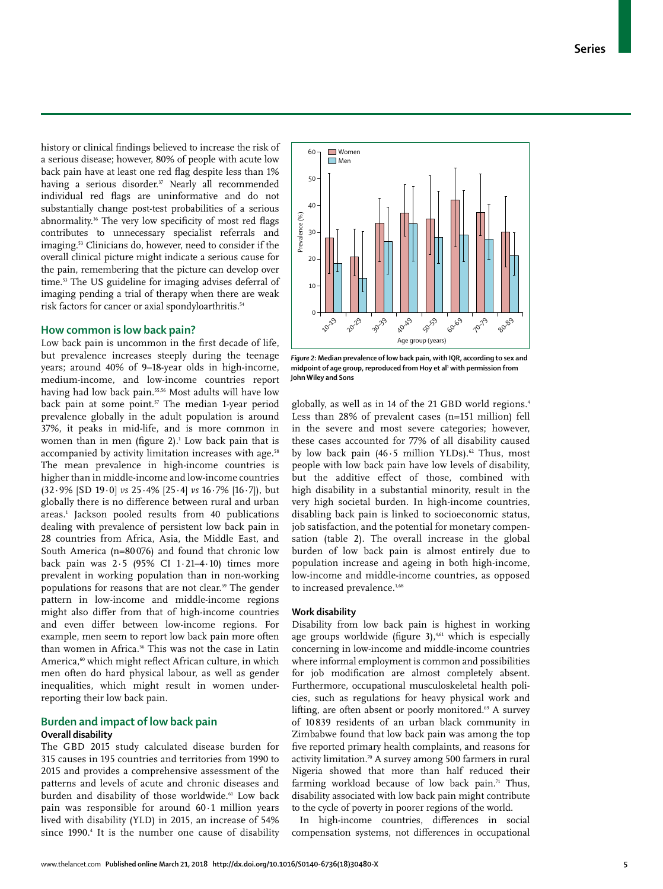history or clinical findings believed to increase the risk of a serious disease; however, 80% of people with acute low back pain have at least one red flag despite less than 1% having a serious disorder.<sup>37</sup> Nearly all recommended individual red flags are uninformative and do not substantially change post-test probabilities of a serious abnormality.<sup>36</sup> The very low specificity of most red flags contributes to unnecessary specialist referrals and imaging.53 Clinicians do, however, need to consider if the overall clinical picture might indicate a serious cause for the pain, remembering that the picture can develop over time.53 The US guideline for imaging advises deferral of imaging pending a trial of therapy when there are weak risk factors for cancer or axial spondyloarthritis.<sup>54</sup>

# **How common is low back pain?**

Low back pain is uncommon in the first decade of life, but prevalence increases steeply during the teenage years; around 40% of 9–18-year olds in high-income, medium-income, and low-income countries report having had low back pain.<sup>55,56</sup> Most adults will have low back pain at some point.<sup>57</sup> The median 1-year period prevalence globally in the adult population is around 37%, it peaks in mid-life, and is more common in women than in men (figure 2).<sup>1</sup> Low back pain that is accompanied by activity limitation increases with age.<sup>58</sup> The mean prevalence in high-income countries is higher than in middle-income and low-income countries (32·9% [SD 19·0] *vs* 25·4% [25·4] *vs* 16·7% [16·7]), but globally there is no difference between rural and urban areas.1 Jackson pooled results from 40 publications dealing with prevalence of persistent low back pain in 28 countries from Africa, Asia, the Middle East, and South America (n=80 076) and found that chronic low back pain was 2·5 (95% CI 1·21–4·10) times more prevalent in working population than in non-working populations for reasons that are not clear.<sup>59</sup> The gender pattern in low-income and middle-income regions might also differ from that of high-income countries and even differ between low-income regions. For example, men seem to report low back pain more often than women in Africa.<sup>56</sup> This was not the case in Latin America.<sup>60</sup> which might reflect African culture, in which men often do hard physical labour, as well as gender inequalities, which might result in women underreporting their low back pain.

## **Burden and impact of low back pain Overall disability**

The GBD 2015 study calculated disease burden for 315 causes in 195 countries and territories from 1990 to 2015 and provides a comprehensive assessment of the patterns and levels of acute and chronic diseases and burden and disability of those worldwide.<sup>61</sup> Low back pain was responsible for around 60·1 million years lived with disability (YLD) in 2015, an increase of 54% since 1990.<sup>4</sup> It is the number one cause of disability



*Figure 2***: Median prevalence of low back pain, with IQR, according to sex and**  midpoint of age group, reproduced from Hoy et al<sup>1</sup> with permission from **John Wiley and Sons**

globally, as well as in 14 of the 21 GBD world regions.<sup>4</sup> Less than 28% of prevalent cases (n=151 million) fell in the severe and most severe categories; however, these cases accounted for 77% of all disability caused by low back pain  $(46.5 \text{ million YLDs})$ .<sup>62</sup> Thus, most people with low back pain have low levels of disability, but the additive effect of those, combined with high disability in a substantial minority, result in the very high societal burden. In high-income countries, disabling back pain is linked to socioeconomic status, job satisfaction, and the potential for monetary compensation (table 2). The overall increase in the global burden of low back pain is almost entirely due to population increase and ageing in both high-income, low-income and middle-income countries, as opposed to increased prevalence.<sup>1,68</sup>

#### **Work disability**

Disability from low back pain is highest in working age groups worldwide (figure  $3$ ),<sup>4,61</sup> which is especially concerning in low-income and middle-income countries where informal employment is common and possibilities for job modification are almost completely absent. Furthermore, occupational musculoskeletal health policies, such as regulations for heavy physical work and lifting, are often absent or poorly monitored.<sup>69</sup> A survey of 10 839 residents of an urban black community in Zimbabwe found that low back pain was among the top five reported primary health complaints, and reasons for activity limitation.70 A survey among 500 farmers in rural Nigeria showed that more than half reduced their farming workload because of low back pain.<sup>71</sup> Thus, disability associated with low back pain might contribute to the cycle of poverty in poorer regions of the world.

In high-income countries, differences in social compensation systems, not differences in occupational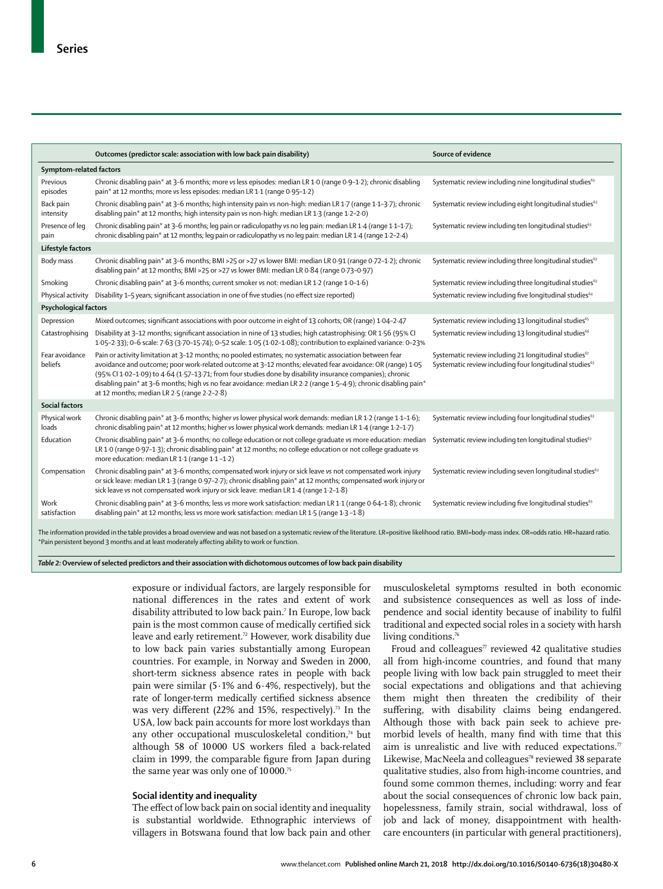|                              | Outcomes (predictor scale: association with low back pain disability)                                                                                                                                                                                                                                                                                                                                                                                                                                 | Source of evidence                                                                                                                       |  |  |  |
|------------------------------|-------------------------------------------------------------------------------------------------------------------------------------------------------------------------------------------------------------------------------------------------------------------------------------------------------------------------------------------------------------------------------------------------------------------------------------------------------------------------------------------------------|------------------------------------------------------------------------------------------------------------------------------------------|--|--|--|
| Symptom-related factors      |                                                                                                                                                                                                                                                                                                                                                                                                                                                                                                       |                                                                                                                                          |  |  |  |
| Previous<br>episodes         | Chronic disabling pain* at 3-6 months; more vs less episodes: median LR 1.0 (range 0.9-1.2); chronic disabling<br>pain* at 12 months; more vs less episodes: median LR 1-1 (range 0-95-1-2)                                                                                                                                                                                                                                                                                                           | Systematic review including nine longitudinal studies <sup>63</sup>                                                                      |  |  |  |
| Back pain<br>intensity       | Chronic disabling pain* at 3-6 months; high intensity pain vs non-high: median LR 1-7 (range 1-1-3-7); chronic<br>disabling pain* at 12 months; high intensity pain vs non-high: median LR 1-3 (range 1-2-2-0)                                                                                                                                                                                                                                                                                        | Systematic review including eight longitudinal studies <sup>63</sup>                                                                     |  |  |  |
| Presence of leg<br>pain      | Chronic disabling pain* at 3-6 months; leg pain or radiculopathy vs no leg pain: median LR 1-4 (range 1-1-1-7);<br>chronic disabling pain* at 12 months; leg pain or radiculopathy vs no leg pain: median LR 1.4 (range 1.2-2.4)                                                                                                                                                                                                                                                                      | Systematic review including ten longitudinal studies <sup>63</sup>                                                                       |  |  |  |
| Lifestyle factors            |                                                                                                                                                                                                                                                                                                                                                                                                                                                                                                       |                                                                                                                                          |  |  |  |
| Body mass                    | Chronic disabling pain* at 3-6 months; BMI > 25 or > 27 vs lower BMI: median LR 0.91 (range 0.72-1.2); chronic<br>disabling pain* at 12 months; BMI > 25 or > 27 vs lower BMI: median LR 0.84 (range 0.73-0.97)                                                                                                                                                                                                                                                                                       | Systematic review including three longitudinal studies <sup>63</sup>                                                                     |  |  |  |
| Smoking                      | Chronic disabling pain* at 3-6 months; current smoker vs not: median LR 1-2 (range 1-0-1-6)                                                                                                                                                                                                                                                                                                                                                                                                           | Systematic review including three longitudinal studies <sup>63</sup>                                                                     |  |  |  |
| Physical activity            | Disability 1-5 years; significant association in one of five studies (no effect size reported)                                                                                                                                                                                                                                                                                                                                                                                                        | Systematic review including five longitudinal studies <sup>64</sup>                                                                      |  |  |  |
| <b>Psychological factors</b> |                                                                                                                                                                                                                                                                                                                                                                                                                                                                                                       |                                                                                                                                          |  |  |  |
| Depression                   | Mixed outcomes; significant associations with poor outcome in eight of 13 cohorts; OR (range) 1.04-2.47                                                                                                                                                                                                                                                                                                                                                                                               | Systematic review including 13 longitudinal studies <sup>65</sup>                                                                        |  |  |  |
| Catastrophising              | Disability at 3-12 months; significant association in nine of 13 studies; high catastrophising: OR 1-56 (95% CI<br>1.05-2.33); 0-6 scale: 7.63 (3.70-15.74); 0-52 scale: 1.05 (1.02-1.08); contribution to explained variance: 0-23%                                                                                                                                                                                                                                                                  | Systematic review including 13 longitudinal studies <sup>66</sup>                                                                        |  |  |  |
| Fear avoidance<br>beliefs    | Pain or activity limitation at 3-12 months; no pooled estimates; no systematic association between fear<br>avoidance and outcome; poor work-related outcome at 3-12 months; elevated fear avoidance: OR (range) 1.05<br>(95% CI 1.02-1.09) to 4.64 (1.57-13.71; from four studies done by disability insurance companies); chronic<br>disabling pain* at 3-6 months; high vs no fear avoidance: median LR 2.2 (range 1.5-4.9); chronic disabling pain*<br>at 12 months; median LR 2.5 (range 2.2-2.8) | Systematic review including 21 longitudinal studies <sup>67</sup><br>Systematic review including four longitudinal studies <sup>63</sup> |  |  |  |
| Social factors               |                                                                                                                                                                                                                                                                                                                                                                                                                                                                                                       |                                                                                                                                          |  |  |  |
| Physical work<br>loads       | Chronic disabling pain* at 3-6 months; higher vs lower physical work demands: median LR 1.2 (range 1.1-1.6);<br>chronic disabling pain* at 12 months; higher vs lower physical work demands: median LR 1-4 (range 1-2-1-7)                                                                                                                                                                                                                                                                            | Systematic review including four longitudinal studies <sup>63</sup>                                                                      |  |  |  |
| Education                    | Chronic disabling pain* at 3-6 months; no college education or not college graduate vs more education: median<br>LR 1.0 (range 0.97-1.3); chronic disabling pain* at 12 months; no college education or not college graduate vs<br>more education: median LR 1.1 (range 1.1-1.2)                                                                                                                                                                                                                      | Systematic review including ten longitudinal studies <sup>63</sup>                                                                       |  |  |  |
| Compensation                 | Chronic disabling pain* at 3-6 months; compensated work injury or sick leave vs not compensated work injury<br>or sick leave: median LR 1-3 (range 0-97-2-7); chronic disabling pain* at 12 months; compensated work injury or<br>sick leave vs not compensated work injury or sick leave: median LR 1.4 (range 1.2-1.8)                                                                                                                                                                              | Systematic review including seven longitudinal studies <sup>63</sup>                                                                     |  |  |  |
| Work<br>satisfaction         | Chronic disabling pain* at 3-6 months; less vs more work satisfaction: median LR 1-1 (range 0-64-1-8); chronic<br>disabling pain* at 12 months; less vs more work satisfaction: median LR 1.5 (range 1.3-1.8)                                                                                                                                                                                                                                                                                         | Systematic review including five longitudinal studies <sup>63</sup>                                                                      |  |  |  |

*Table 2:* **Overview of selected predictors and their association with dichotomous outcomes of low back pain disability**

exposure or individual factors, are largely responsible for national differences in the rates and extent of work disability attributed to low back pain.7 In Europe, low back pain is the most common cause of medically certified sick leave and early retirement.<sup>72</sup> However, work disability due to low back pain varies substantially among European countries. For example, in Norway and Sweden in 2000, short-term sickness absence rates in people with back pain were similar (5 $\cdot$ 1% and 6 $\cdot$ 4%, respectively), but the rate of longer-term medically certified sickness absence was very different (22% and 15%, respectively).<sup>73</sup> In the USA, low back pain accounts for more lost workdays than any other occupational musculoskeletal condition,<sup>74</sup> but although 58 of 10000 US workers filed a back-related claim in 1999, the comparable figure from Japan during the same year was only one of 10000.<sup>75</sup>

## **Social identity and inequality**

The effect of low back pain on social identity and inequality is substantial worldwide. Ethnographic interviews of villagers in Botswana found that low back pain and other musculoskeletal symptoms resulted in both economic and subsistence consequences as well as loss of independence and social identity because of inability to fulfil traditional and expected social roles in a society with harsh living conditions.<sup>76</sup>

Froud and colleagues $\pi$  reviewed 42 qualitative studies all from high-income countries, and found that many people living with low back pain struggled to meet their social expectations and obligations and that achieving them might then threaten the credibility of their suffering, with disability claims being endangered. Although those with back pain seek to achieve premorbid levels of health, many find with time that this aim is unrealistic and live with reduced expectations.<sup>77</sup> Likewise, MacNeela and colleagues<sup>78</sup> reviewed 38 separate qualitative studies, also from high-income countries, and found some common themes, including: worry and fear about the social consequences of chronic low back pain, hopelessness, family strain, social withdrawal, loss of job and lack of money, disappointment with healthcare encounters (in particular with general practitioners),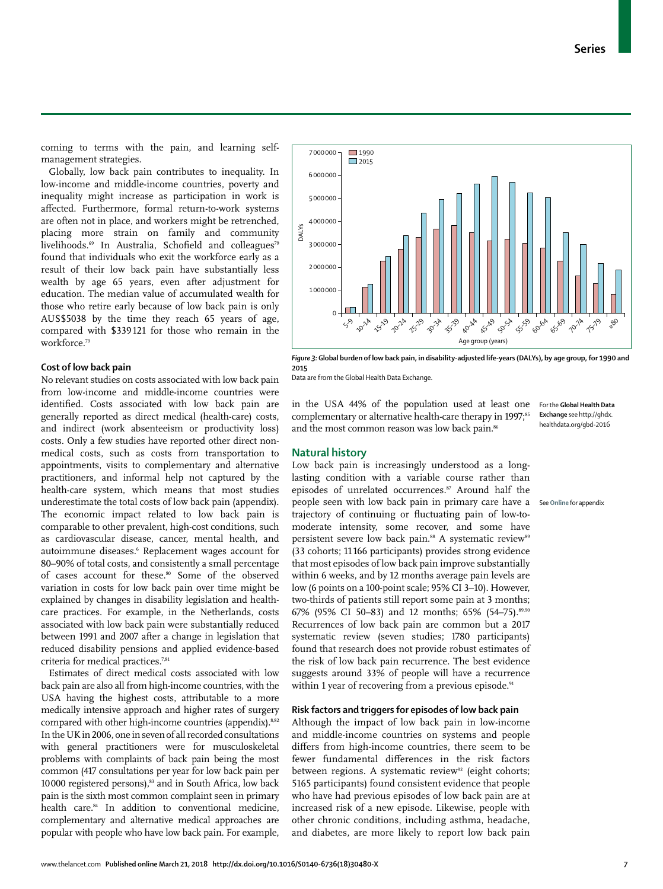coming to terms with the pain, and learning selfmanagement strategies.

Globally, low back pain contributes to inequality. In low-income and middle-income countries, poverty and inequality might increase as participation in work is affected. Furthermore, formal return-to-work systems are often not in place, and workers might be retrenched, placing more strain on family and community livelihoods.<sup>69</sup> In Australia, Schofield and colleagues<sup>79</sup> found that individuals who exit the workforce early as a result of their low back pain have substantially less wealth by age 65 years, even after adjustment for education. The median value of accumulated wealth for those who retire early because of low back pain is only AUS\$5038 by the time they reach 65 years of age, compared with \$339 121 for those who remain in the workforce.79

## **Cost of low back pain**

No relevant studies on costs associated with low back pain from low-income and middle-income countries were identified. Costs associated with low back pain are generally reported as direct medical (health-care) costs, and indirect (work absenteeism or productivity loss) costs. Only a few studies have reported other direct nonmedical costs, such as costs from transportation to appointments, visits to complementary and alternative practitioners, and informal help not captured by the health-care system, which means that most studies underestimate the total costs of low back pain (appendix). The economic impact related to low back pain is comparable to other prevalent, high-cost conditions, such as cardiovascular disease, cancer, mental health, and autoimmune diseases.6 Replacement wages account for 80–90% of total costs, and consistently a small percentage of cases account for these.80 Some of the observed variation in costs for low back pain over time might be explained by changes in disability legislation and healthcare practices. For example, in the Netherlands, costs associated with low back pain were substantially reduced between 1991 and 2007 after a change in legislation that reduced disability pensions and applied evidence-based criteria for medical practices.7,81

Estimates of direct medical costs associated with low back pain are also all from high-income countries, with the USA having the highest costs, attributable to a more medically intensive approach and higher rates of surgery compared with other high-income countries (appendix).<sup>8,82</sup> In the UK in 2006, one in seven of all recorded consultations with general practitioners were for musculoskeletal problems with complaints of back pain being the most common (417 consultations per year for low back pain per 10000 registered persons),<sup>83</sup> and in South Africa, low back pain is the sixth most common complaint seen in primary health care.<sup>84</sup> In addition to conventional medicine, complementary and alternative medical approaches are popular with people who have low back pain. For example,



*Figure 3:* **Global burden of low back pain, in disability-adjusted life-years (DALYs), by age group, for 1990 and 2015** 

Data are from the [Global Health Data Exchange](http://ghdx.healthdata.org/).

in the USA 44% of the population used at least one complementary or alternative health-care therapy in 1997;<sup>85</sup> and the most common reason was low back pain.<sup>86</sup>

For the **Global Health Data Exchange** see [http://ghdx.](http://ghdx.healthdata.org/) [healthdata.org/g](http://ghdx.healthdata.org/)bd-2016

#### **Natural history**

Low back pain is increasingly understood as a longlasting condition with a variable course rather than episodes of unrelated occurrences.<sup>87</sup> Around half the people seen with low back pain in primary care have a See **Online** for appendixtrajectory of continuing or fluctuating pain of low-tomoderate intensity, some recover, and some have persistent severe low back pain.<sup>88</sup> A systematic review<sup>89</sup> (33 cohorts; 11 166 participants) provides strong evidence that most episodes of low back pain improve substantially within 6 weeks, and by 12 months average pain levels are low (6 points on a 100-point scale; 95% CI 3–10). However, two-thirds of patients still report some pain at 3 months; 67% (95% CI 50–83) and 12 months; 65% (54–75).89,90 Recurrences of low back pain are common but a 2017 systematic review (seven studies; 1780 participants) found that research does not provide robust estimates of the risk of low back pain recurrence. The best evidence suggests around 33% of people will have a recurrence within 1 year of recovering from a previous episode.<sup>91</sup>

## **Risk factors and triggers for episodes of low back pain**

Although the impact of low back pain in low-income and middle-income countries on systems and people differs from high-income countries, there seem to be fewer fundamental differences in the risk factors between regions. A systematic review<sup>92</sup> (eight cohorts; 5165 participants) found consistent evidence that people who have had previous episodes of low back pain are at increased risk of a new episode. Likewise, people with other chronic conditions, including asthma, headache, and diabetes, are more likely to report low back pain

www.thelancet.com **Published online March 21, 2018 http://dx.doi.org/10.1016/S0140-6736(18)30480-X 7**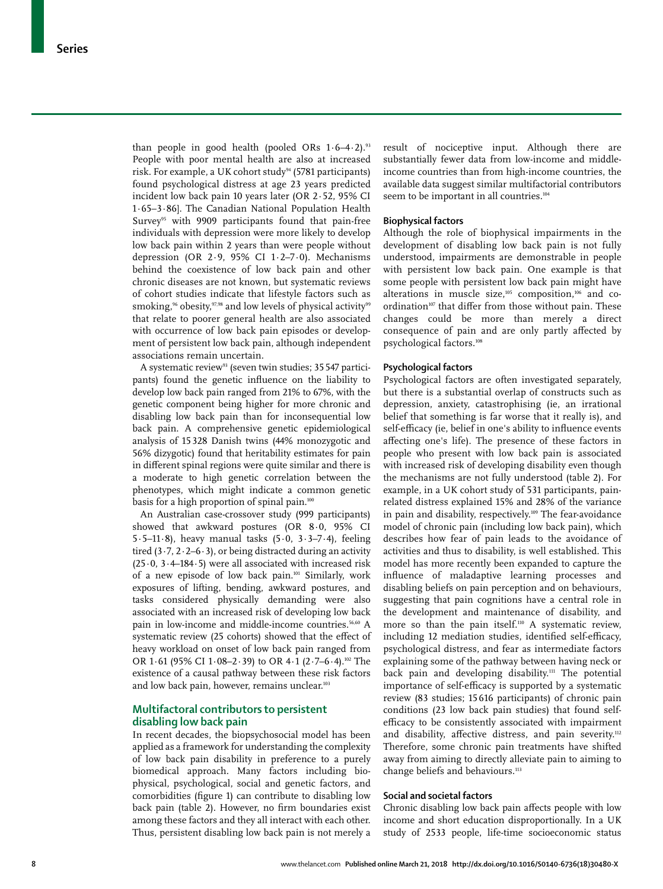than people in good health (pooled ORs  $1.6-4.2$ ).<sup>93</sup> People with poor mental health are also at increased risk. For example, a UK cohort study<sup>94</sup> (5781 participants) found psychological distress at age 23 years predicted incident low back pain 10 years later (OR 2·52, 95% CI 1·65–3·86]. The Canadian National Population Health Survey<sup>95</sup> with 9909 participants found that pain-free individuals with depression were more likely to develop low back pain within 2 years than were people without depression (OR 2·9, 95% CI 1·2–7·0). Mechanisms behind the coexistence of low back pain and other chronic diseases are not known, but systematic reviews of cohort studies indicate that lifestyle factors such as smoking,<sup>96</sup> obesity,<sup>97,98</sup> and low levels of physical activity<sup>99</sup> that relate to poorer general health are also associated with occurrence of low back pain episodes or development of persistent low back pain, although independent associations remain uncertain.

A systematic review<sup>93</sup> (seven twin studies; 35547 participants) found the genetic influence on the liability to develop low back pain ranged from 21% to 67%, with the genetic component being higher for more chronic and disabling low back pain than for inconsequential low back pain. A comprehensive genetic epidemiological analysis of 15 328 Danish twins (44% monozygotic and 56% dizygotic) found that heritability estimates for pain in different spinal regions were quite similar and there is a moderate to high genetic correlation between the phenotypes, which might indicate a common genetic basis for a high proportion of spinal pain.<sup>100</sup>

An Australian case-crossover study (999 participants) showed that awkward postures (OR 8·0, 95% CI 5 $-5$ –11 $-8$ ), heavy manual tasks (5 $-0$ , 3 $-3$ –7 $-4$ ), feeling tired  $(3.7, 2.2-6.3)$ , or being distracted during an activity (25·0, 3·4–184·5) were all associated with increased risk of a new episode of low back pain.101 Similarly, work exposures of lifting, bending, awkward postures, and tasks considered physically demanding were also associated with an increased risk of developing low back pain in low-income and middle-income countries.<sup>56,60</sup> A systematic review (25 cohorts) showed that the effect of heavy workload on onset of low back pain ranged from OR  $1.61$  (95% CI  $1.08 - 2.39$ ) to OR  $4.1$  (2.7-6.4).<sup>102</sup> The existence of a causal pathway between these risk factors and low back pain, however, remains unclear.103

# **Multifactoral contributors to persistent disabling low back pain**

In recent decades, the biopsychosocial model has been applied as a framework for understanding the complexity of low back pain disability in preference to a purely biomedical approach. Many factors including biophysical, psychological, social and genetic factors, and comorbidities (figure 1) can contribute to disabling low back pain (table 2). However, no firm boundaries exist among these factors and they all interact with each other. Thus, persistent disabling low back pain is not merely a

result of nociceptive input. Although there are substantially fewer data from low-income and middleincome countries than from high-income countries, the available data suggest similar multifactorial contributors seem to be important in all countries.<sup>104</sup>

## **Biophysical factors**

Although the role of biophysical impairments in the development of disabling low back pain is not fully understood, impairments are demonstrable in people with persistent low back pain. One example is that some people with persistent low back pain might have alterations in muscle size,105 composition,106 and coordination<sup>107</sup> that differ from those without pain. These changes could be more than merely a direct consequence of pain and are only partly affected by psychological factors.108

## **Psychological factors**

Psychological factors are often investigated separately, but there is a substantial overlap of constructs such as depression, anxiety, catastrophising (ie, an irrational belief that something is far worse that it really is), and self-efficacy (ie, belief in one's ability to influence events affecting one's life). The presence of these factors in people who present with low back pain is associated with increased risk of developing disability even though the mechanisms are not fully understood (table 2). For example, in a UK cohort study of 531 participants, painrelated distress explained 15% and 28% of the variance in pain and disability, respectively.<sup>109</sup> The fear-avoidance model of chronic pain (including low back pain), which describes how fear of pain leads to the avoidance of activities and thus to disability, is well established. This model has more recently been expanded to capture the influence of maladaptive learning processes and disabling beliefs on pain perception and on behaviours, suggesting that pain cognitions have a central role in the development and maintenance of disability, and more so than the pain itself.110 A systematic review, including 12 mediation studies, identified self-efficacy, psychological distress, and fear as intermediate factors explaining some of the pathway between having neck or back pain and developing disability.<sup>111</sup> The potential importance of self-efficacy is supported by a systematic review (83 studies; 15 616 participants) of chronic pain conditions (23 low back pain studies) that found selfefficacy to be consistently associated with impairment and disability, affective distress, and pain severity.<sup>112</sup> Therefore, some chronic pain treatments have shifted away from aiming to directly alleviate pain to aiming to change beliefs and behaviours.<sup>113</sup>

## **Social and societal factors**

Chronic disabling low back pain affects people with low income and short education disproportionally. In a UK study of 2533 people, life-time socioeconomic status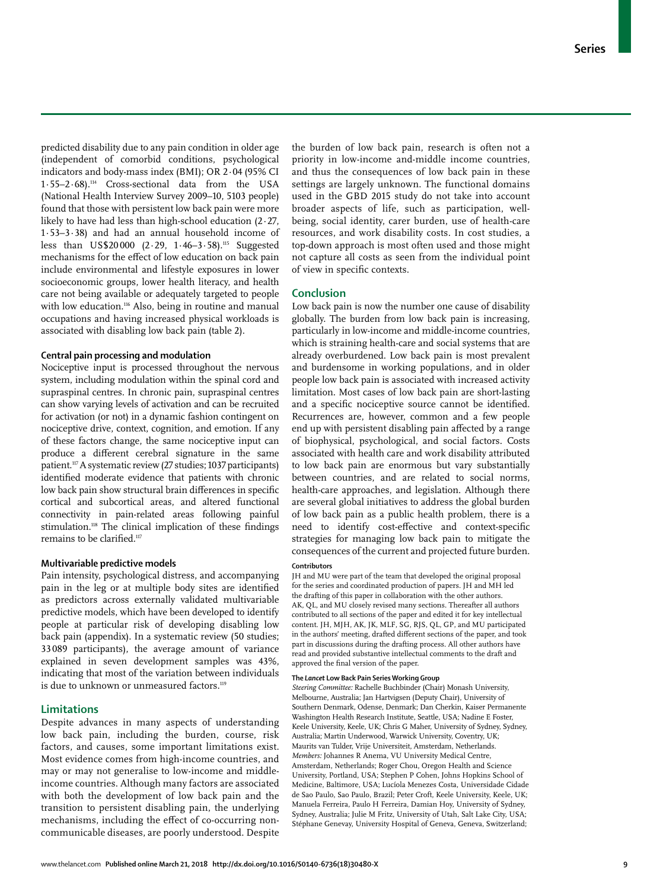predicted disability due to any pain condition in older age (independent of comorbid conditions, psychological indicators and body-mass index (BMI); OR 2·04 (95% CI 1·55–2·68).114 Cross-sectional data from the USA (National Health Interview Survey 2009–10, 5103 people) found that those with persistent low back pain were more likely to have had less than high-school education (2·27, 1·53–3·38) and had an annual household income of less than US\$20000 (2.29, 1.46-3.58).<sup>115</sup> Suggested mechanisms for the effect of low education on back pain include environmental and lifestyle exposures in lower socioeconomic groups, lower health literacy, and health care not being available or adequately targeted to people with low education.<sup>116</sup> Also, being in routine and manual occupations and having increased physical workloads is associated with disabling low back pain (table 2).

## **Central pain processing and modulation**

Nociceptive input is processed throughout the nervous system, including modulation within the spinal cord and supraspinal centres. In chronic pain, supraspinal centres can show varying levels of activation and can be recruited for activation (or not) in a dynamic fashion contingent on nociceptive drive, context, cognition, and emotion. If any of these factors change, the same nociceptive input can produce a different cerebral signature in the same patient.117 A systematic review (27 studies; 1037 participants) identified moderate evidence that patients with chronic low back pain show structural brain differences in specific cortical and subcortical areas, and altered functional connectivity in pain-related areas following painful stimulation.<sup>118</sup> The clinical implication of these findings remains to be clarified.<sup>117</sup>

### **Multivariable predictive models**

Pain intensity, psychological distress, and accompanying pain in the leg or at multiple body sites are identified as predictors across externally validated multivariable predictive models, which have been developed to identify people at particular risk of developing disabling low back pain (appendix). In a systematic review (50 studies; 33 089 participants), the average amount of variance explained in seven development samples was 43%, indicating that most of the variation between individuals is due to unknown or unmeasured factors.<sup>119</sup>

## **Limitations**

Despite advances in many aspects of understanding low back pain, including the burden, course, risk factors, and causes, some important limitations exist. Most evidence comes from high-income countries, and may or may not generalise to low-income and middleincome countries. Although many factors are associated with both the development of low back pain and the transition to persistent disabling pain, the underlying mechanisms, including the effect of co-occurring noncommunicable diseases, are poorly understood. Despite the burden of low back pain, research is often not a priority in low-income and-middle income countries, and thus the consequences of low back pain in these settings are largely unknown. The functional domains used in the GBD 2015 study do not take into account broader aspects of life, such as participation, wellbeing, social identity, carer burden, use of health-care resources, and work disability costs. In cost studies, a top-down approach is most often used and those might not capture all costs as seen from the individual point of view in specific contexts.

## **Conclusion**

Low back pain is now the number one cause of disability globally. The burden from low back pain is increasing, particularly in low-income and middle-income countries, which is straining health-care and social systems that are already overburdened. Low back pain is most prevalent and burdensome in working populations, and in older people low back pain is associated with increased activity limitation. Most cases of low back pain are short-lasting and a specific nociceptive source cannot be identified. Recurrences are, however, common and a few people end up with persistent disabling pain affected by a range of biophysical, psychological, and social factors. Costs associated with health care and work disability attributed to low back pain are enormous but vary substantially between countries, and are related to social norms, health-care approaches, and legislation. Although there are several global initiatives to address the global burden of low back pain as a public health problem, there is a need to identify cost-effective and context-specific strategies for managing low back pain to mitigate the consequences of the current and projected future burden.

#### **Contributors**

JH and MU were part of the team that developed the original proposal for the series and coordinated production of papers. JH and MH led the drafting of this paper in collaboration with the other authors. AK, QL, and MU closely revised many sections. Thereafter all authors contributed to all sections of the paper and edited it for key intellectual content. JH, MJH, AK, JK, MLF, SG, RJS, QL, GP, and MU participated in the authors' meeting, drafted different sections of the paper, and took part in discussions during the drafting process. All other authors have read and provided substantive intellectual comments to the draft and approved the final version of the paper.

#### **The** *Lancet* **Low Back Pain Series Working Group**

*Steering Committee:* Rachelle Buchbinder (Chair) Monash University, Melbourne, Australia; Jan Hartvigsen (Deputy Chair), University of Southern Denmark, Odense, Denmark; Dan Cherkin, Kaiser Permanente Washington Health Research Institute, Seattle, USA; Nadine E Foster, Keele University, Keele, UK; Chris G Maher, University of Sydney, Sydney, Australia; Martin Underwood, Warwick University, Coventry, UK; Maurits van Tulder, Vrije Universiteit, Amsterdam, Netherlands. *Members:* Johannes R Anema, VU University Medical Centre, Amsterdam, Netherlands; Roger Chou, Oregon Health and Science University, Portland, USA; Stephen P Cohen, Johns Hopkins School of Medicine, Baltimore, USA; Lucíola Menezes Costa, Universidade Cidade de Sao Paulo, Sao Paulo, Brazil; Peter Croft, Keele University, Keele, UK; Manuela Ferreira, Paulo H Ferreira, Damian Hoy, University of Sydney, Sydney, Australia; Julie M Fritz, University of Utah, Salt Lake City, USA; Stéphane Genevay, University Hospital of Geneva, Geneva, Switzerland;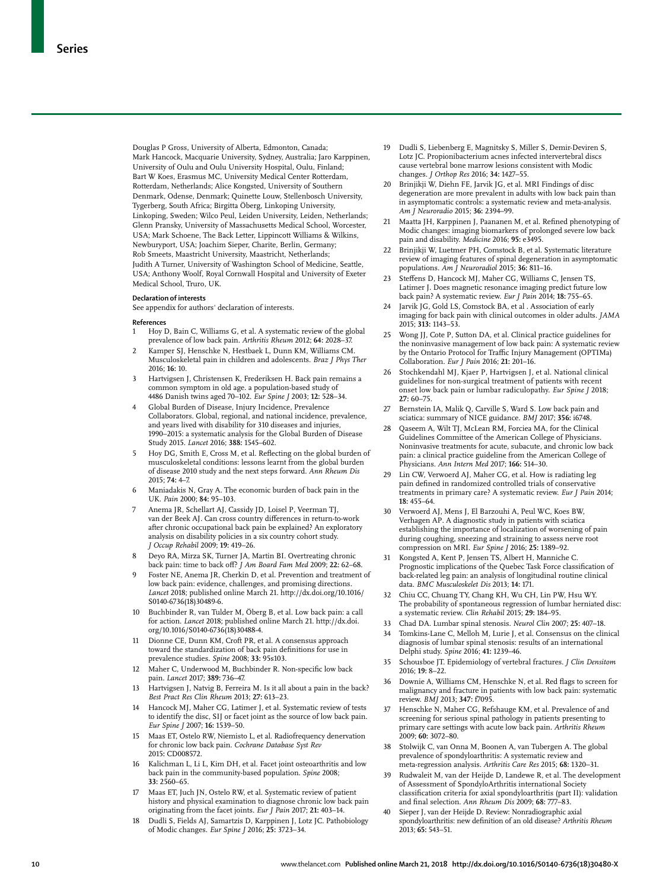Douglas P Gross, University of Alberta, Edmonton, Canada; Mark Hancock, Macquarie University, Sydney, Australia; Jaro Karppinen, University of Oulu and Oulu University Hospital, Oulu, Finland; Bart W Koes, Erasmus MC, University Medical Center Rotterdam, Rotterdam, Netherlands; Alice Kongsted, University of Southern Denmark, Odense, Denmark; Quinette Louw, Stellenbosch University, Tygerberg, South Africa; Birgitta Öberg, Linkoping University, Linkoping, Sweden; Wilco Peul, Leiden University, Leiden, Netherlands; Glenn Pransky, University of Massachusetts Medical School, Worcester, USA; Mark Schoene, The Back Letter, Lippincott Williams & Wilkins, Newburyport, USA; Joachim Sieper, Charite, Berlin, Germany; Rob Smeets, Maastricht University, Maastricht, Netherlands; Judith A Turner, University of Washington School of Medicine, Seattle, USA; Anthony Woolf, Royal Cornwall Hospital and University of Exeter Medical School, Truro, UK.

#### **Declaration of interests**

See appendix for authors' declaration of interests.

#### **References**

- 1 Hoy D, Bain C, Williams G, et al. A systematic review of the global prevalence of low back pain. *Arthritis Rheum* 2012; **64:** 2028–37.
- 2 Kamper SJ, Henschke N, Hestbaek L, Dunn KM, Williams CM. Musculoskeletal pain in children and adolescents. *Braz J Phys Ther* 2016; **16:** 10.
- 3 Hartvigsen J, Christensen K, Frederiksen H. Back pain remains a common symptom in old age. a population-based study of 4486 Danish twins aged 70–102. *Eur Spine J* 2003; **12:** 528–34.
- 4 Global Burden of Disease, Injury Incidence, Prevalence Collaborators. Global, regional, and national incidence, prevalence, and years lived with disability for 310 diseases and injuries, 1990–2015: a systematic analysis for the Global Burden of Disease Study 2015. *Lancet* 2016; **388:** 1545–602.
- 5 Hoy DG, Smith E, Cross M, et al. Reflecting on the global burden of musculoskeletal conditions: lessons learnt from the global burden of disease 2010 study and the next steps forward. *Ann Rheum Dis* 2015; **74:** 4–7.
- 6 Maniadakis N, Gray A. The economic burden of back pain in the UK. *Pain* 2000; **84:** 95–103.
- 7 Anema JR, Schellart AJ, Cassidy JD, Loisel P, Veerman TJ, van der Beek AJ. Can cross country differences in return-to-work after chronic occupational back pain be explained? An exploratory analysis on disability policies in a six country cohort study. *J Occup Rehabil* 2009; **19:** 419–26.
- 8 Deyo RA, Mirza SK, Turner JA, Martin BI. Overtreating chronic back pain: time to back off? *J Am Board Fam Med* 2009; **22:** 62–68.
- Foster NE, Anema JR, Cherkin D, et al. Prevention and treatment of low back pain: evidence, challenges, and promising directions. *Lancet* 2018; published online March 21. http://dx.doi.org/10.1016/ S0140-6736(18)30489-6.
- 10 Buchbinder R, van Tulder M, Öberg B, et al. Low back pain: a call for action. *Lancet* 2018; published online March 21. http://dx.doi. org/10.1016/S0140-6736(18)30488-4.
- 11 Dionne CE, Dunn KM, Croft PR, et al. A consensus approach toward the standardization of back pain definitions for use in prevalence studies. *Spine* 2008; **33:** 95s103.
- 12 Maher C, Underwood M, Buchbinder R. Non-specific low back pain. *Lancet* 2017; **389:** 736–47.
- 13 Hartvigsen J, Natvig B, Ferreira M. Is it all about a pain in the back? *Best Pract Res Clin Rheum* 2013; **27:** 613–23.
- 14 Hancock MJ, Maher CG, Latimer J, et al. Systematic review of tests to identify the disc, SIJ or facet joint as the source of low back pain. *Eur Spine J* 2007; **16:** 1539–50.
- 15 Maas ET, Ostelo RW, Niemisto L, et al. Radiofrequency denervation for chronic low back pain. *Cochrane Database Syst Rev*  2015**:** CD008572.
- 16 Kalichman L, Li L, Kim DH, et al. Facet joint osteoarthritis and low back pain in the community-based population. *Spine* 2008; **33:** 2560–65.
- 17 Maas ET, Juch JN, Ostelo RW, et al. Systematic review of patient history and physical examination to diagnose chronic low back pain originating from the facet joints. *Eur J Pain* 2017; **21:** 403–14.
- 18 Dudli S, Fields AJ, Samartzis D, Karppinen J, Lotz JC. Pathobiology of Modic changes. *Eur Spine J* 2016; **25:** 3723–34.
- 19 Dudli S, Liebenberg E, Magnitsky S, Miller S, Demir-Deviren S, Lotz JC. Propionibacterium acnes infected intervertebral discs cause vertebral bone marrow lesions consistent with Modic changes. *J Orthop Res* 2016; **34:** 1427–55.
- 20 Brinjikji W, Diehn FE, Jarvik JG, et al. MRI Findings of disc degeneration are more prevalent in adults with low back pain than in asymptomatic controls: a systematic review and meta-analysis. *Am J Neuroradio* 2015; **36:** 2394–99.
- Maatta JH, Karppinen J, Paananen M, et al. Refined phenotyping of Modic changes: imaging biomarkers of prolonged severe low back pain and disability. *Medicine* 2016; **95:** e3495.
- 22 Brinjikji W, Luetmer PH, Comstock B, et al. Systematic literature review of imaging features of spinal degeneration in asymptomatic populations. *Am J Neuroradiol* 2015; **36:** 811–16.
- 23 Steffens D, Hancock MJ, Maher CG, Williams C, Jensen TS, Latimer J. Does magnetic resonance imaging predict future low back pain? A systematic review. *Eur J Pain* 2014; **18:** 755–65.
- 24 Jarvik JG, Gold LS, Comstock BA, et al . Association of early imaging for back pain with clinical outcomes in older adults. *JAMA* 2015; **313:** 1143–53.
- 25 Wong JJ, Cote P, Sutton DA, et al. Clinical practice guidelines for the noninvasive management of low back pain: A systematic review by the Ontario Protocol for Traffic Injury Management (OPTIMa) Collaboration. *Eur J Pain* 2016; **21:** 201–16.
- 26 Stochkendahl MJ, Kjaer P, Hartvigsen J, et al. National clinical guidelines for non-surgical treatment of patients with recent onset low back pain or lumbar radiculopathy. *Eur Spine J* 2018; **27:** 60–75.
- 27 Bernstein IA, Malik Q, Carville S, Ward S. Low back pain and sciatica: summary of NICE guidance. *BMJ* 2017; **356:** i6748.
- 28 Qaseem A, Wilt TJ, McLean RM, Forciea MA, for the Clinical Guidelines Committee of the American College of Physicians. Noninvasive treatments for acute, subacute, and chronic low back pain: a clinical practice guideline from the American College of Physicians. *Ann Intern Med* 2017; **166:** 514–30.
- Lin CW, Verwoerd AJ, Maher CG, et al. How is radiating leg pain defined in randomized controlled trials of conservative treatments in primary care? A systematic review. *Eur J Pain* 2014; **18:** 455–64.
- 30 Verwoerd AJ, Mens J, El Barzouhi A, Peul WC, Koes BW, Verhagen AP. A diagnostic study in patients with sciatica establishing the importance of localization of worsening of pain during coughing, sneezing and straining to assess nerve root compression on MRI. *Eur Spine J* 2016; **25:** 1389–92.
- 31 Kongsted A, Kent P, Jensen TS, Albert H, Manniche C. Prognostic implications of the Quebec Task Force classification of back-related leg pain: an analysis of longitudinal routine clinical data. *BMC Musculoskelet Dis* 2013; **14:** 171.
- 32 Chiu CC, Chuang TY, Chang KH, Wu CH, Lin PW, Hsu WY. The probability of spontaneous regression of lumbar herniated disc: a systematic review. *Clin Rehabil* 2015; **29:** 184–95.
- 33 Chad DA. Lumbar spinal stenosis. *Neurol Clin* 2007; **25:** 407–18.
- 34 Tomkins-Lane C, Melloh M, Lurie J, et al. Consensus on the clinical diagnosis of lumbar spinal stenosis: results of an international Delphi study. *Spine* 2016; **41:** 1239–46.
- 35 Schousboe JT. Epidemiology of vertebral fractures. *J Clin Densitom* 2016; **19:** 8–22.
- Downie A, Williams CM, Henschke N, et al. Red flags to screen for malignancy and fracture in patients with low back pain: systematic review. *BMJ* 2013; **347:** f7095.
- 37 Henschke N, Maher CG, Refshauge KM, et al. Prevalence of and screening for serious spinal pathology in patients presenting to primary care settings with acute low back pain. *Arthritis Rheum* 2009; **60:** 3072–80.
- 38 Stolwijk C, van Onna M, Boonen A, van Tubergen A. The global prevalence of spondyloarthritis: A systematic review and meta-regression analysis. *Arthritis Care Res* 2015; **68:** 1320–31.
- 39 Rudwaleit M, van der Heijde D, Landewe R, et al. The development of Assessment of SpondyloArthritis international Society classification criteria for axial spondyloarthritis (part II): validation and final selection. *Ann Rheum Dis* 2009; **68:** 777–83.
- Sieper J, van der Heijde D. Review: Nonradiographic axial
- spondyloarthritis: new definition of an old disease? *Arthritis Rheum* 2013; **65:** 543–51.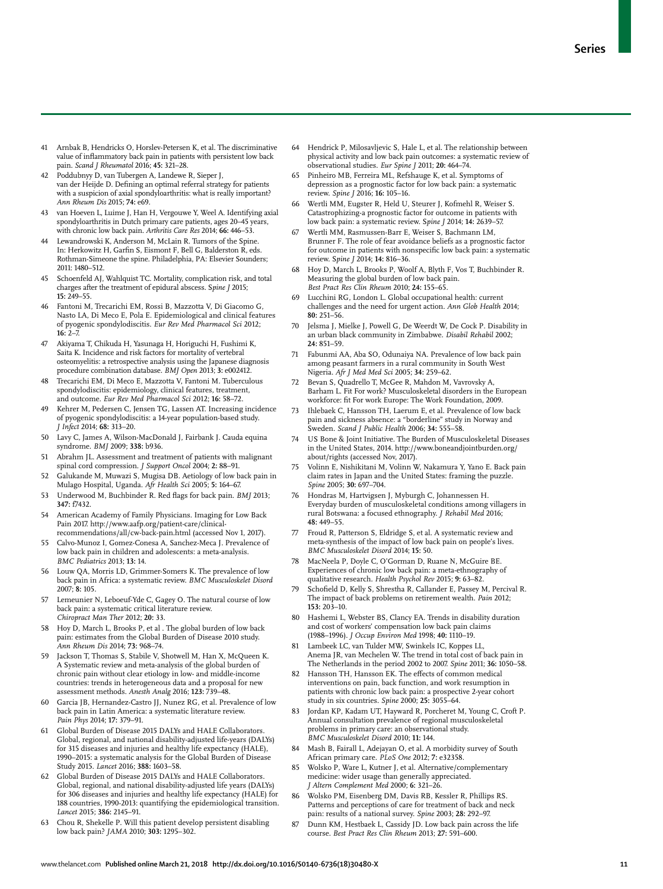- 41 Arnbak B, Hendricks O, Horslev-Petersen K, et al. The discriminative value of inflammatory back pain in patients with persistent low back pain. *Scand J Rheumatol* 2016; **45:** 321–28.
- Poddubnyy D, van Tubergen A, Landewe R, Sieper J, van der Heijde D. Defining an optimal referral strategy for patients with a suspicion of axial spondyloarthritis: what is really important? *Ann Rheum Dis* 2015; **74:** e69.
- 43 van Hoeven L, Luime J, Han H, Vergouwe Y, Weel A. Identifying axial spondyloarthritis in Dutch primary care patients, ages 20–45 years, with chronic low back pain. *Arthritis Care Res* 2014; **66:** 446–53.
- Lewandrowski K, Anderson M, McLain R. Tumors of the Spine. In: Herkowitz H, Garfin S, Eismont F, Bell G, Balderston R, eds. Rothman-Simeone the spine. Philadelphia, PA: Elsevier Sounders; 2011: 1480–512.
- Schoenfeld AJ, Wahlquist TC. Mortality, complication risk, and total charges after the treatment of epidural abscess. S*pine J* 2015; **15:** 249–55.
- 46 Fantoni M, Trecarichi EM, Rossi B, Mazzotta V, Di Giacomo G, Nasto LA, Di Meco E, Pola E. Epidemiological and clinical features of pyogenic spondylodiscitis. *Eur Rev Med Pharmacol Sci* 2012; **16:** 2–7.
- 47 Akiyama T, Chikuda H, Yasunaga H, Horiguchi H, Fushimi K, Saita K. Incidence and risk factors for mortality of vertebral osteomyelitis: a retrospective analysis using the Japanese diagnosis procedure combination database. *BMJ Open* 2013; **3:** e002412.
- 48 Trecarichi EM, Di Meco E, Mazzotta V, Fantoni M. Tuberculous spondylodiscitis: epidemiology, clinical features, treatment, and outcome. *Eur Rev Med Pharmacol Sci* 2012; **16:** 58–72.
- Kehrer M, Pedersen C, Jensen TG, Lassen AT. Increasing incidence of pyogenic spondylodiscitis: a 14-year population-based study. *J Infect* 2014; **68:** 313–20.
- 50 Lavy C, James A, Wilson-MacDonald J, Fairbank J. Cauda equina syndrome. *BMJ* 2009; **338:** b936.
- 51 Abrahm JL. Assessment and treatment of patients with malignant spinal cord compression. *J Support Oncol* 2004; **2:** 88–91.
- 52 Galukande M, Muwazi S, Mugisa DB. Aetiology of low back pain in Mulago Hospital, Uganda. *Afr Health Sci* 2005; **5:** 164–67.
- 53 Underwood M, Buchbinder R. Red flags for back pain. *BMJ* 2013; **347:** f7432.
- American Academy of Family Physicians. Imaging for Low Back Pain 2017. http://www.aafp.org/patient-care/clinicalrecommendations/all/cw-back-pain.html (accessed Nov 1, 2017).
- 55 Calvo-Munoz I, Gomez-Conesa A, Sanchez-Meca J. Prevalence of low back pain in children and adolescents: a meta-analysis. *BMC Pediatrics* 2013; **13:** 14.
- 56 Louw QA, Morris LD, Grimmer-Somers K. The prevalence of low back pain in Africa: a systematic review. *BMC Musculoskelet Disord* 2007; **8:** 105.
- 57 Lemeunier N, Leboeuf-Yde C, Gagey O. The natural course of low back pain: a systematic critical literature review. *Chiropract Man Ther* 2012; **20:** 33.
- Hoy D, March L, Brooks P, et al . The global burden of low back pain: estimates from the Global Burden of Disease 2010 study. *Ann Rheum Dis* 2014; **73:** 968–74.
- 59 Jackson T, Thomas S, Stabile V, Shotwell M, Han X, McQueen K. A Systematic review and meta-analysis of the global burden of chronic pain without clear etiology in low- and middle-income countries: trends in heterogeneous data and a proposal for new assessment methods. *Anesth Analg* 2016; **123:** 739–48.
- Garcia JB, Hernandez-Castro JJ, Nunez RG, et al. Prevalence of low back pain in Latin America: a systematic literature review. *Pain Phys* 2014; **17:** 379–91.
- 61 Global Burden of Disease 2015 DALYs and HALE Collaborators. Global, regional, and national disability-adjusted life-years (DALYs) for 315 diseases and injuries and healthy life expectancy (HALE), 1990–2015: a systematic analysis for the Global Burden of Disease Study 2015. *Lancet* 2016; **388:** 1603–58.
- Global Burden of Disease 2015 DALYs and HALE Collaborators. Global, regional, and national disability-adjusted life years (DALYs) for 306 diseases and injuries and healthy life expectancy (HALE) for 188 countries, 1990-2013: quantifying the epidemiological transition. *Lancet* 2015; **386:** 2145–91.
- 63 Chou R, Shekelle P. Will this patient develop persistent disabling low back pain? *JAMA* 2010; **303:** 1295–302.
- 64 Hendrick P, Milosavljevic S, Hale L, et al. The relationship between physical activity and low back pain outcomes: a systematic review of observational studies. *Eur Spine J* 2011; **20:** 464–74.
- 65 Pinheiro MB, Ferreira ML, Refshauge K, et al. Symptoms of depression as a prognostic factor for low back pain: a systematic review. *Spine J* 2016; **16:** 105–16.
- 66 Wertli MM, Eugster R, Held U, Steurer J, Kofmehl R, Weiser S. Catastrophizing-a prognostic factor for outcome in patients with low back pain: a systematic review. S*pine J* 2014; **14:** 2639–57.
- 67 Wertli MM, Rasmussen-Barr E, Weiser S, Bachmann LM, Brunner F. The role of fear avoidance beliefs as a prognostic factor for outcome in patients with nonspecific low back pain: a systematic review. S*pine J* 2014; **14:** 816–36.
- 68 Hoy D, March L, Brooks P, Woolf A, Blyth F, Vos T, Buchbinder R. Measuring the global burden of low back pain. *Best Pract Res Clin Rheum* 2010; **24:** 155–65.
- 69 Lucchini RG, London L. Global occupational health: current challenges and the need for urgent action. *Ann Glob Health* 2014; **80:** 251–56.
- 70 Jelsma J, Mielke J, Powell G, De Weerdt W, De Cock P. Disability in an urban black community in Zimbabwe. *Disabil Rehabil* 2002; **24:** 851–59.
- 71 Fabunmi AA, Aba SO, Odunaiya NA. Prevalence of low back pain among peasant farmers in a rural community in South West Nigeria. *Afr J Med Med Sci* 2005; **34:** 259–62.
- 72 Bevan S, Quadrello T, McGee R, Mahdon M, Vavrovsky A, Barham L. Fit For work? Musculoskeletal disorders in the European workforce: fit For work Europe: The Work Foundation, 2009.
- Ihlebaek C, Hansson TH, Laerum E, et al. Prevalence of low back pain and sickness absence: a "borderline" study in Norway and Sweden. *Scand J Public Health* 2006; **34:** 555–58.
- 74 US Bone & Joint Initiative. The Burden of Musculoskeletal Diseases in the United States, 2014. http://www.boneandjointburden.org/ about/rights (accessed Nov, 2017).
- 75 Volinn E, Nishikitani M, Volinn W, Nakamura Y, Yano E. Back pain claim rates in Japan and the United States: framing the puzzle. *Spine* 2005; **30:** 697–704.
- 76 Hondras M, Hartvigsen J, Myburgh C, Johannessen H. Everyday burden of musculoskeletal conditions among villagers in rural Botswana: a focused ethnography. *J Rehabil Med* 2016; **48:** 449–55.
- Froud R, Patterson S, Eldridge S, et al. A systematic review and meta-synthesis of the impact of low back pain on people's lives. *BMC Musculoskelet Disord* 2014; **15:** 50.
- MacNeela P, Doyle C, O'Gorman D, Ruane N, McGuire BE. Experiences of chronic low back pain: a meta-ethnography of qualitative research. *Health Psychol Rev* 2015; **9:** 63–82.
- Schofield D, Kelly S, Shrestha R, Callander E, Passey M, Percival R. The impact of back problems on retirement wealth. *Pain* 2012; **153:** 203–10.
- 80 Hashemi L, Webster BS, Clancy EA. Trends in disability duration and cost of workers' compensation low back pain claims (1988–1996). *J Occup Environ Med* 1998; **40:** 1110–19.
- 81 Lambeek LC, van Tulder MW, Swinkels IC, Koppes LL, Anema JR, van Mechelen W. The trend in total cost of back pain in The Netherlands in the period 2002 to 2007. *Spine* 2011; **36:** 1050–58.
- 82 Hansson TH, Hansson EK. The effects of common medical interventions on pain, back function, and work resumption in patients with chronic low back pain: a prospective 2-year cohort study in six countries. *Spine* 2000; **25:** 3055–64.
- Jordan KP, Kadam UT, Hayward R, Porcheret M, Young C, Croft P. Annual consultation prevalence of regional musculoskeletal problems in primary care: an observational study. *BMC Musculoskelet Disord* 2010; **11:** 144.
- 84 Mash B, Fairall L, Adejayan O, et al. A morbidity survey of South African primary care. *PLoS One* 2012; **7:** e32358.
- 85 Wolsko P, Ware L, Kutner J, et al. Alternative/complementary medicine: wider usage than generally appreciated. *J Altern Complement Med* 2000; **6:** 321–26.
- 86 Wolsko PM, Eisenberg DM, Davis RB, Kessler R, Phillips RS. Patterns and perceptions of care for treatment of back and neck pain: results of a national survey. *Spine* 2003; **28:** 292–97.
- 87 Dunn KM, Hestbaek L, Cassidy JD. Low back pain across the life course. *Best Pract Res Clin Rheum* 2013; **27:** 591–600.